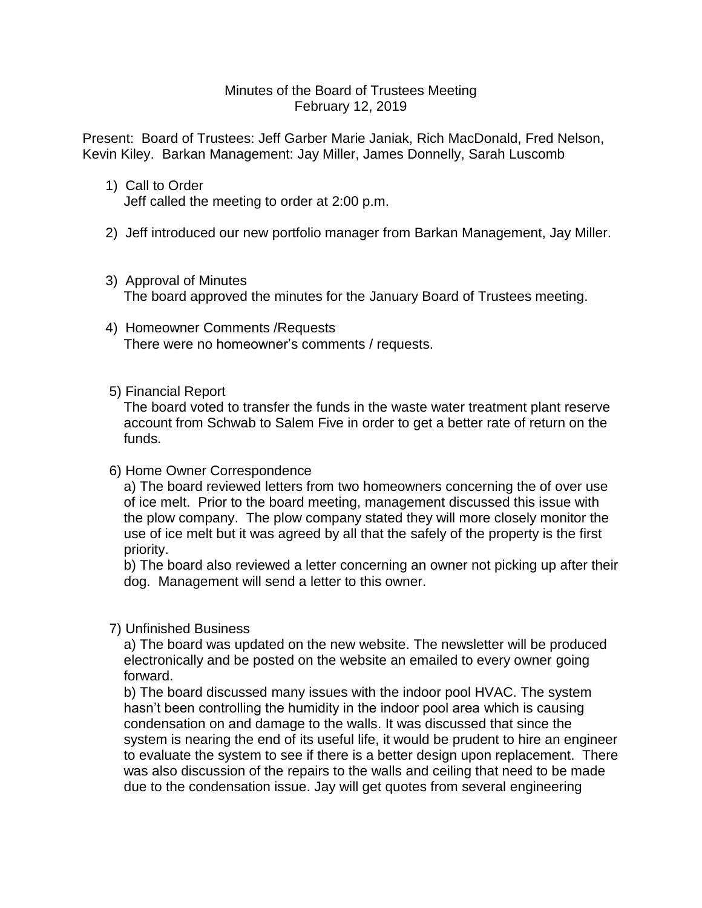## Minutes of the Board of Trustees Meeting February 12, 2019

Present: Board of Trustees: Jeff Garber Marie Janiak, Rich MacDonald, Fred Nelson, Kevin Kiley. Barkan Management: Jay Miller, James Donnelly, Sarah Luscomb

- 1) Call to Order Jeff called the meeting to order at 2:00 p.m.
- 2) Jeff introduced our new portfolio manager from Barkan Management, Jay Miller.
- 3) Approval of Minutes

The board approved the minutes for the January Board of Trustees meeting.

 4) Homeowner Comments /Requests There were no homeowner's comments / requests.

## 5) Financial Report

The board voted to transfer the funds in the waste water treatment plant reserve account from Schwab to Salem Five in order to get a better rate of return on the funds.

## 6) Home Owner Correspondence

a) The board reviewed letters from two homeowners concerning the of over use of ice melt. Prior to the board meeting, management discussed this issue with the plow company. The plow company stated they will more closely monitor the use of ice melt but it was agreed by all that the safely of the property is the first priority.

b) The board also reviewed a letter concerning an owner not picking up after their dog. Management will send a letter to this owner.

## 7) Unfinished Business

a) The board was updated on the new website. The newsletter will be produced electronically and be posted on the website an emailed to every owner going forward.

b) The board discussed many issues with the indoor pool HVAC. The system hasn't been controlling the humidity in the indoor pool area which is causing condensation on and damage to the walls. It was discussed that since the system is nearing the end of its useful life, it would be prudent to hire an engineer to evaluate the system to see if there is a better design upon replacement. There was also discussion of the repairs to the walls and ceiling that need to be made due to the condensation issue. Jay will get quotes from several engineering